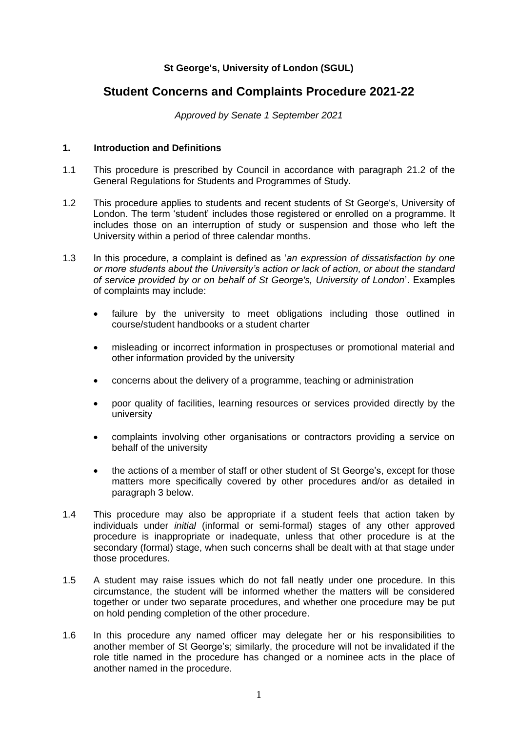# **St George's, University of London (SGUL)**

# **Student Concerns and Complaints Procedure 2021-22**

*Approved by Senate 1 September 2021*

# **1. Introduction and Definitions**

- 1.1 This procedure is prescribed by Council in accordance with paragraph 21.2 of the General Regulations for Students and Programmes of Study.
- 1.2 This procedure applies to students and recent students of St George's, University of London. The term 'student' includes those registered or enrolled on a programme. It includes those on an interruption of study or suspension and those who left the University within a period of three calendar months.
- 1.3 In this procedure, a complaint is defined as '*an expression of dissatisfaction by one or more students about the University's action or lack of action, or about the standard of service provided by or on behalf of St George's, University of London*'. Examples of complaints may include:
	- failure by the university to meet obligations including those outlined in course/student handbooks or a student charter
	- misleading or incorrect information in prospectuses or promotional material and other information provided by the university
	- concerns about the delivery of a programme, teaching or administration
	- poor quality of facilities, learning resources or services provided directly by the university
	- complaints involving other organisations or contractors providing a service on behalf of the university
	- the actions of a member of staff or other student of St George's, except for those matters more specifically covered by other procedures and/or as detailed in paragraph 3 below.
- 1.4 This procedure may also be appropriate if a student feels that action taken by individuals under *initial* (informal or semi-formal) stages of any other approved procedure is inappropriate or inadequate, unless that other procedure is at the secondary (formal) stage, when such concerns shall be dealt with at that stage under those procedures.
- 1.5 A student may raise issues which do not fall neatly under one procedure. In this circumstance, the student will be informed whether the matters will be considered together or under two separate procedures, and whether one procedure may be put on hold pending completion of the other procedure.
- 1.6 In this procedure any named officer may delegate her or his responsibilities to another member of St George's; similarly, the procedure will not be invalidated if the role title named in the procedure has changed or a nominee acts in the place of another named in the procedure.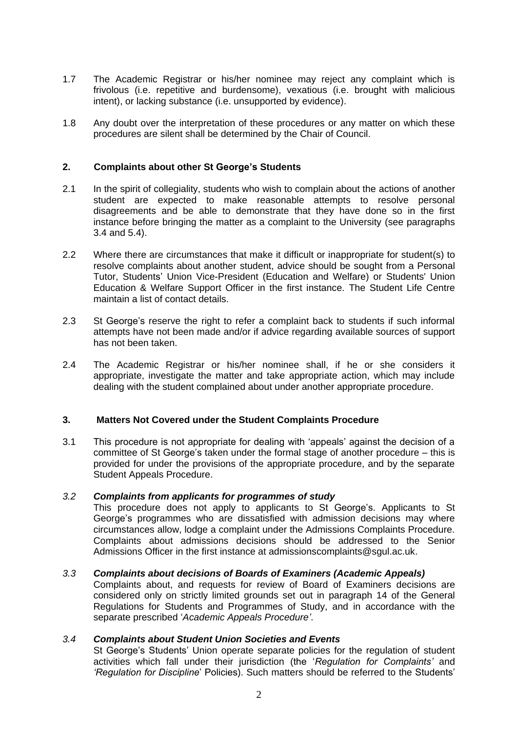- 1.7 The Academic Registrar or his/her nominee may reject any complaint which is frivolous (i.e. repetitive and burdensome), vexatious (i.e. brought with malicious intent), or lacking substance (i.e. unsupported by evidence).
- 1.8 Any doubt over the interpretation of these procedures or any matter on which these procedures are silent shall be determined by the Chair of Council.

### **2. Complaints about other St George's Students**

- 2.1 In the spirit of collegiality, students who wish to complain about the actions of another student are expected to make reasonable attempts to resolve personal disagreements and be able to demonstrate that they have done so in the first instance before bringing the matter as a complaint to the University (see paragraphs 3.4 and 5.4).
- 2.2 Where there are circumstances that make it difficult or inappropriate for student(s) to resolve complaints about another student, advice should be sought from a Personal Tutor, Students' Union Vice-President (Education and Welfare) or Students' Union Education & Welfare Support Officer in the first instance. The Student Life Centre maintain a list of contact details.
- 2.3 St George's reserve the right to refer a complaint back to students if such informal attempts have not been made and/or if advice regarding available sources of support has not been taken.
- 2.4 The Academic Registrar or his/her nominee shall, if he or she considers it appropriate, investigate the matter and take appropriate action, which may include dealing with the student complained about under another appropriate procedure.

#### **3. Matters Not Covered under the Student Complaints Procedure**

3.1 This procedure is not appropriate for dealing with 'appeals' against the decision of a committee of St George's taken under the formal stage of another procedure – this is provided for under the provisions of the appropriate procedure, and by the separate Student Appeals Procedure.

#### *3.2 Complaints from applicants for programmes of study*

This procedure does not apply to applicants to St George's. Applicants to St George's programmes who are dissatisfied with admission decisions may where circumstances allow, lodge a complaint under the Admissions Complaints Procedure. Complaints about admissions decisions should be addressed to the Senior Admissions Officer in the first instance at admissionscomplaints@sgul.ac.uk.

#### *3.3 Complaints about decisions of Boards of Examiners (Academic Appeals)*

Complaints about, and requests for review of Board of Examiners decisions are considered only on strictly limited grounds set out in paragraph 14 of the General Regulations for Students and Programmes of Study, and in accordance with the separate prescribed '*Academic Appeals Procedure'*.

#### *3.4 Complaints about Student Union Societies and Events*

St George's Students' Union operate separate policies for the regulation of student activities which fall under their jurisdiction (the '*Regulation for Complaints'* and *'Regulation for Discipline*' Policies). Such matters should be referred to the Students'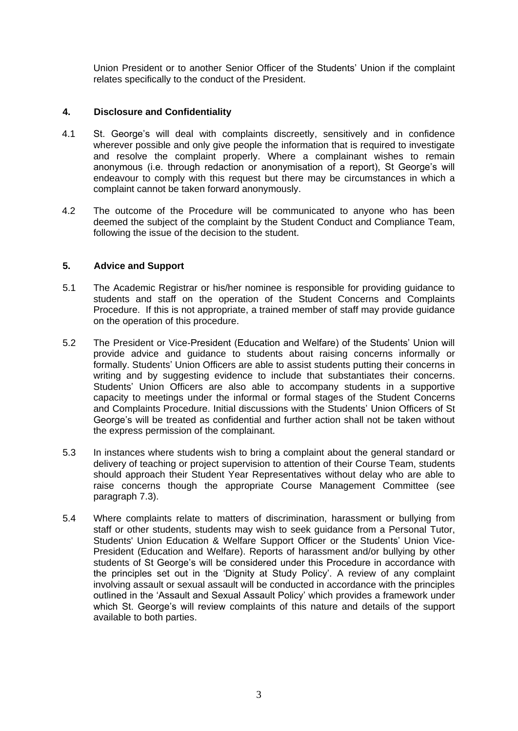Union President or to another Senior Officer of the Students' Union if the complaint relates specifically to the conduct of the President.

### **4. Disclosure and Confidentiality**

- 4.1 St. George's will deal with complaints discreetly, sensitively and in confidence wherever possible and only give people the information that is required to investigate and resolve the complaint properly. Where a complainant wishes to remain anonymous (i.e. through redaction or anonymisation of a report), St George's will endeavour to comply with this request but there may be circumstances in which a complaint cannot be taken forward anonymously.
- 4.2 The outcome of the Procedure will be communicated to anyone who has been deemed the subject of the complaint by the Student Conduct and Compliance Team, following the issue of the decision to the student.

### **5. Advice and Support**

- 5.1 The Academic Registrar or his/her nominee is responsible for providing guidance to students and staff on the operation of the Student Concerns and Complaints Procedure. If this is not appropriate, a trained member of staff may provide guidance on the operation of this procedure.
- 5.2 The President or Vice-President (Education and Welfare) of the Students' Union will provide advice and guidance to students about raising concerns informally or formally. Students' Union Officers are able to assist students putting their concerns in writing and by suggesting evidence to include that substantiates their concerns. Students' Union Officers are also able to accompany students in a supportive capacity to meetings under the informal or formal stages of the Student Concerns and Complaints Procedure. Initial discussions with the Students' Union Officers of St George's will be treated as confidential and further action shall not be taken without the express permission of the complainant.
- 5.3 In instances where students wish to bring a complaint about the general standard or delivery of teaching or project supervision to attention of their Course Team, students should approach their Student Year Representatives without delay who are able to raise concerns though the appropriate Course Management Committee (see paragraph 7.3).
- 5.4 Where complaints relate to matters of discrimination, harassment or bullying from staff or other students, students may wish to seek guidance from a Personal Tutor, Students' Union Education & Welfare Support Officer or the Students' Union Vice-President (Education and Welfare). Reports of harassment and/or bullying by other students of St George's will be considered under this Procedure in accordance with the principles set out in the 'Dignity at Study Policy'. A review of any complaint involving assault or sexual assault will be conducted in accordance with the principles outlined in the 'Assault and Sexual Assault Policy' which provides a framework under which St. George's will review complaints of this nature and details of the support available to both parties.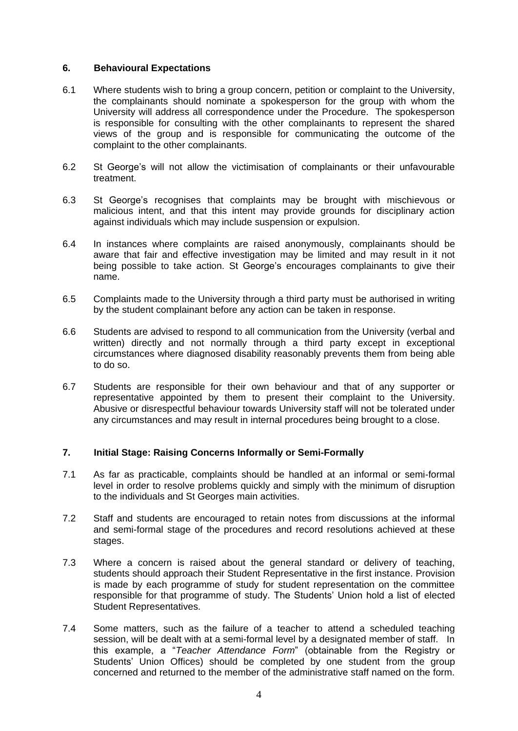### **6. Behavioural Expectations**

- 6.1 Where students wish to bring a group concern, petition or complaint to the University, the complainants should nominate a spokesperson for the group with whom the University will address all correspondence under the Procedure. The spokesperson is responsible for consulting with the other complainants to represent the shared views of the group and is responsible for communicating the outcome of the complaint to the other complainants.
- 6.2 St George's will not allow the victimisation of complainants or their unfavourable treatment.
- 6.3 St George's recognises that complaints may be brought with mischievous or malicious intent, and that this intent may provide grounds for disciplinary action against individuals which may include suspension or expulsion.
- 6.4 In instances where complaints are raised anonymously, complainants should be aware that fair and effective investigation may be limited and may result in it not being possible to take action. St George's encourages complainants to give their name.
- 6.5 Complaints made to the University through a third party must be authorised in writing by the student complainant before any action can be taken in response.
- 6.6 Students are advised to respond to all communication from the University (verbal and written) directly and not normally through a third party except in exceptional circumstances where diagnosed disability reasonably prevents them from being able to do so.
- 6.7 Students are responsible for their own behaviour and that of any supporter or representative appointed by them to present their complaint to the University. Abusive or disrespectful behaviour towards University staff will not be tolerated under any circumstances and may result in internal procedures being brought to a close.

# **7. Initial Stage: Raising Concerns Informally or Semi-Formally**

- 7.1 As far as practicable, complaints should be handled at an informal or semi-formal level in order to resolve problems quickly and simply with the minimum of disruption to the individuals and St Georges main activities.
- 7.2 Staff and students are encouraged to retain notes from discussions at the informal and semi-formal stage of the procedures and record resolutions achieved at these stages.
- 7.3 Where a concern is raised about the general standard or delivery of teaching, students should approach their Student Representative in the first instance. Provision is made by each programme of study for student representation on the committee responsible for that programme of study. The Students' Union hold a list of elected Student Representatives.
- 7.4 Some matters, such as the failure of a teacher to attend a scheduled teaching session, will be dealt with at a semi-formal level by a designated member of staff. In this example, a "*Teacher Attendance Form*" (obtainable from the Registry or Students' Union Offices) should be completed by one student from the group concerned and returned to the member of the administrative staff named on the form.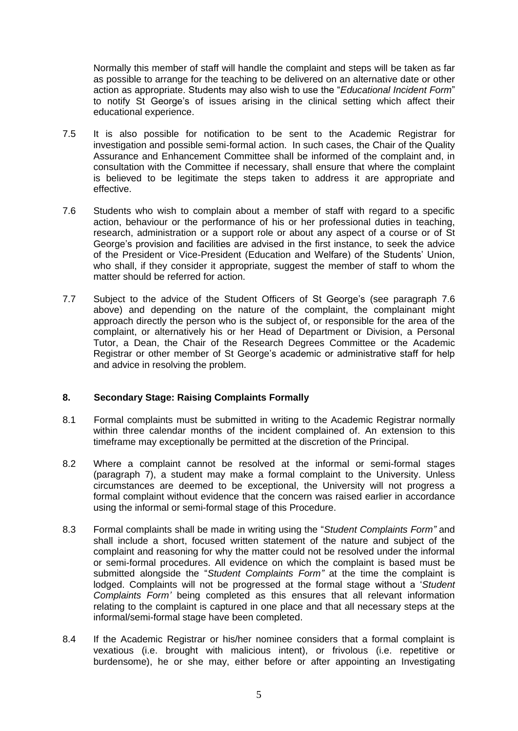Normally this member of staff will handle the complaint and steps will be taken as far as possible to arrange for the teaching to be delivered on an alternative date or other action as appropriate. Students may also wish to use the "*Educational Incident Form*" to notify St George's of issues arising in the clinical setting which affect their educational experience.

- 7.5 It is also possible for notification to be sent to the Academic Registrar for investigation and possible semi-formal action. In such cases, the Chair of the Quality Assurance and Enhancement Committee shall be informed of the complaint and, in consultation with the Committee if necessary, shall ensure that where the complaint is believed to be legitimate the steps taken to address it are appropriate and effective.
- 7.6 Students who wish to complain about a member of staff with regard to a specific action, behaviour or the performance of his or her professional duties in teaching, research, administration or a support role or about any aspect of a course or of St George's provision and facilities are advised in the first instance, to seek the advice of the President or Vice-President (Education and Welfare) of the Students' Union, who shall, if they consider it appropriate, suggest the member of staff to whom the matter should be referred for action.
- 7.7 Subject to the advice of the Student Officers of St George's (see paragraph 7.6 above) and depending on the nature of the complaint, the complainant might approach directly the person who is the subject of, or responsible for the area of the complaint, or alternatively his or her Head of Department or Division, a Personal Tutor, a Dean, the Chair of the Research Degrees Committee or the Academic Registrar or other member of St George's academic or administrative staff for help and advice in resolving the problem.

### **8. Secondary Stage: Raising Complaints Formally**

- 8.1 Formal complaints must be submitted in writing to the Academic Registrar normally within three calendar months of the incident complained of. An extension to this timeframe may exceptionally be permitted at the discretion of the Principal.
- 8.2 Where a complaint cannot be resolved at the informal or semi-formal stages (paragraph 7), a student may make a formal complaint to the University. Unless circumstances are deemed to be exceptional, the University will not progress a formal complaint without evidence that the concern was raised earlier in accordance using the informal or semi-formal stage of this Procedure.
- 8.3 Formal complaints shall be made in writing using the "*Student Complaints Form"* and shall include a short, focused written statement of the nature and subject of the complaint and reasoning for why the matter could not be resolved under the informal or semi-formal procedures. All evidence on which the complaint is based must be submitted alongside the "*Student Complaints Form"* at the time the complaint is lodged. Complaints will not be progressed at the formal stage without a '*Student Complaints Form'* being completed as this ensures that all relevant information relating to the complaint is captured in one place and that all necessary steps at the informal/semi-formal stage have been completed.
- 8.4 If the Academic Registrar or his/her nominee considers that a formal complaint is vexatious (i.e. brought with malicious intent), or frivolous (i.e. repetitive or burdensome), he or she may, either before or after appointing an Investigating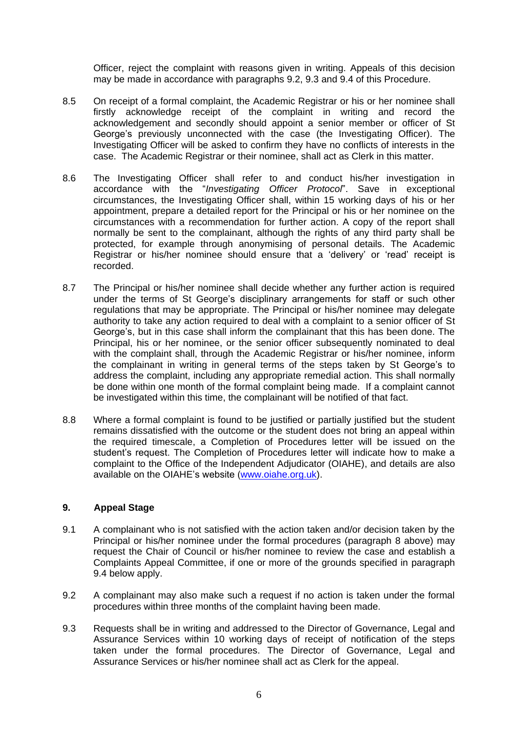Officer, reject the complaint with reasons given in writing. Appeals of this decision may be made in accordance with paragraphs 9.2, 9.3 and 9.4 of this Procedure.

- 8.5 On receipt of a formal complaint, the Academic Registrar or his or her nominee shall firstly acknowledge receipt of the complaint in writing and record the acknowledgement and secondly should appoint a senior member or officer of St George's previously unconnected with the case (the Investigating Officer). The Investigating Officer will be asked to confirm they have no conflicts of interests in the case. The Academic Registrar or their nominee, shall act as Clerk in this matter.
- 8.6 The Investigating Officer shall refer to and conduct his/her investigation in accordance with the "*Investigating Officer Protocol*". Save in exceptional circumstances, the Investigating Officer shall, within 15 working days of his or her appointment, prepare a detailed report for the Principal or his or her nominee on the circumstances with a recommendation for further action. A copy of the report shall normally be sent to the complainant, although the rights of any third party shall be protected, for example through anonymising of personal details. The Academic Registrar or his/her nominee should ensure that a 'delivery' or 'read' receipt is recorded.
- 8.7 The Principal or his/her nominee shall decide whether any further action is required under the terms of St George's disciplinary arrangements for staff or such other regulations that may be appropriate. The Principal or his/her nominee may delegate authority to take any action required to deal with a complaint to a senior officer of St George's, but in this case shall inform the complainant that this has been done. The Principal, his or her nominee, or the senior officer subsequently nominated to deal with the complaint shall, through the Academic Registrar or his/her nominee, inform the complainant in writing in general terms of the steps taken by St George's to address the complaint, including any appropriate remedial action. This shall normally be done within one month of the formal complaint being made. If a complaint cannot be investigated within this time, the complainant will be notified of that fact.
- 8.8 Where a formal complaint is found to be justified or partially justified but the student remains dissatisfied with the outcome or the student does not bring an appeal within the required timescale, a Completion of Procedures letter will be issued on the student's request. The Completion of Procedures letter will indicate how to make a complaint to the Office of the Independent Adjudicator (OIAHE), and details are also available on the OIAHE's website [\(www.oiahe.org.uk\)](http://www.oiahe.org.uk/).

### **9. Appeal Stage**

- 9.1 A complainant who is not satisfied with the action taken and/or decision taken by the Principal or his/her nominee under the formal procedures (paragraph 8 above) may request the Chair of Council or his/her nominee to review the case and establish a Complaints Appeal Committee, if one or more of the grounds specified in paragraph 9.4 below apply.
- 9.2 A complainant may also make such a request if no action is taken under the formal procedures within three months of the complaint having been made.
- 9.3 Requests shall be in writing and addressed to the Director of Governance, Legal and Assurance Services within 10 working days of receipt of notification of the steps taken under the formal procedures. The Director of Governance, Legal and Assurance Services or his/her nominee shall act as Clerk for the appeal.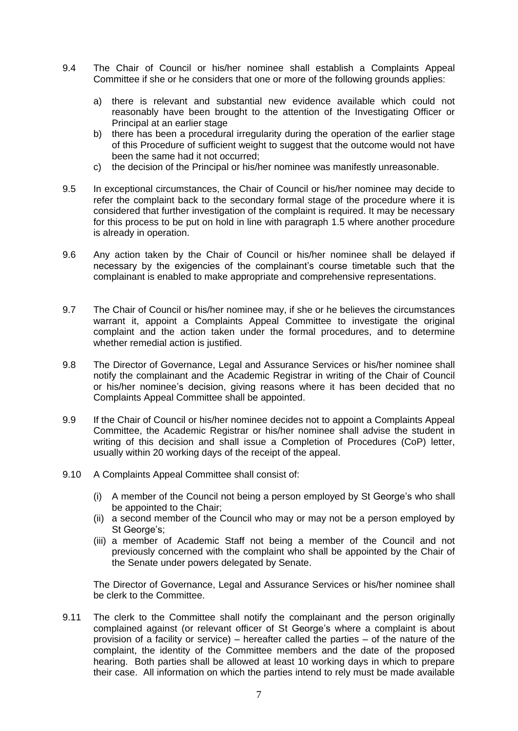- 9.4 The Chair of Council or his/her nominee shall establish a Complaints Appeal Committee if she or he considers that one or more of the following grounds applies:
	- a) there is relevant and substantial new evidence available which could not reasonably have been brought to the attention of the Investigating Officer or Principal at an earlier stage
	- b) there has been a procedural irregularity during the operation of the earlier stage of this Procedure of sufficient weight to suggest that the outcome would not have been the same had it not occurred;
	- c) the decision of the Principal or his/her nominee was manifestly unreasonable.
- 9.5 In exceptional circumstances, the Chair of Council or his/her nominee may decide to refer the complaint back to the secondary formal stage of the procedure where it is considered that further investigation of the complaint is required. It may be necessary for this process to be put on hold in line with paragraph 1.5 where another procedure is already in operation.
- 9.6 Any action taken by the Chair of Council or his/her nominee shall be delayed if necessary by the exigencies of the complainant's course timetable such that the complainant is enabled to make appropriate and comprehensive representations.
- 9.7 The Chair of Council or his/her nominee may, if she or he believes the circumstances warrant it, appoint a Complaints Appeal Committee to investigate the original complaint and the action taken under the formal procedures, and to determine whether remedial action is justified.
- 9.8 The Director of Governance, Legal and Assurance Services or his/her nominee shall notify the complainant and the Academic Registrar in writing of the Chair of Council or his/her nominee's decision, giving reasons where it has been decided that no Complaints Appeal Committee shall be appointed.
- 9.9 If the Chair of Council or his/her nominee decides not to appoint a Complaints Appeal Committee, the Academic Registrar or his/her nominee shall advise the student in writing of this decision and shall issue a Completion of Procedures (CoP) letter, usually within 20 working days of the receipt of the appeal.
- 9.10 A Complaints Appeal Committee shall consist of:
	- (i) A member of the Council not being a person employed by St George's who shall be appointed to the Chair;
	- (ii) a second member of the Council who may or may not be a person employed by St George's:
	- (iii) a member of Academic Staff not being a member of the Council and not previously concerned with the complaint who shall be appointed by the Chair of the Senate under powers delegated by Senate.

The Director of Governance, Legal and Assurance Services or his/her nominee shall be clerk to the Committee.

9.11 The clerk to the Committee shall notify the complainant and the person originally complained against (or relevant officer of St George's where a complaint is about provision of a facility or service) – hereafter called the parties – of the nature of the complaint, the identity of the Committee members and the date of the proposed hearing. Both parties shall be allowed at least 10 working days in which to prepare their case. All information on which the parties intend to rely must be made available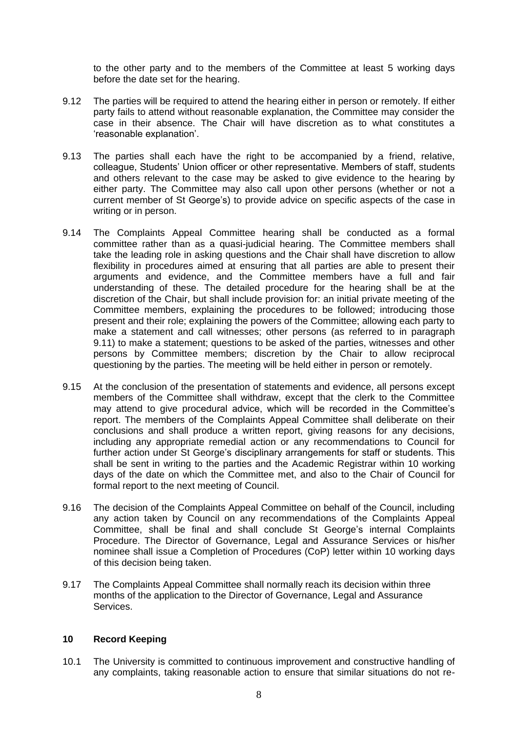to the other party and to the members of the Committee at least 5 working days before the date set for the hearing.

- 9.12 The parties will be required to attend the hearing either in person or remotely. If either party fails to attend without reasonable explanation, the Committee may consider the case in their absence. The Chair will have discretion as to what constitutes a 'reasonable explanation'.
- 9.13 The parties shall each have the right to be accompanied by a friend, relative, colleague, Students' Union officer or other representative. Members of staff, students and others relevant to the case may be asked to give evidence to the hearing by either party. The Committee may also call upon other persons (whether or not a current member of St George's) to provide advice on specific aspects of the case in writing or in person.
- 9.14 The Complaints Appeal Committee hearing shall be conducted as a formal committee rather than as a quasi-judicial hearing. The Committee members shall take the leading role in asking questions and the Chair shall have discretion to allow flexibility in procedures aimed at ensuring that all parties are able to present their arguments and evidence, and the Committee members have a full and fair understanding of these. The detailed procedure for the hearing shall be at the discretion of the Chair, but shall include provision for: an initial private meeting of the Committee members, explaining the procedures to be followed; introducing those present and their role; explaining the powers of the Committee; allowing each party to make a statement and call witnesses; other persons (as referred to in paragraph 9.11) to make a statement; questions to be asked of the parties, witnesses and other persons by Committee members; discretion by the Chair to allow reciprocal questioning by the parties. The meeting will be held either in person or remotely.
- 9.15 At the conclusion of the presentation of statements and evidence, all persons except members of the Committee shall withdraw, except that the clerk to the Committee may attend to give procedural advice, which will be recorded in the Committee's report. The members of the Complaints Appeal Committee shall deliberate on their conclusions and shall produce a written report, giving reasons for any decisions, including any appropriate remedial action or any recommendations to Council for further action under St George's disciplinary arrangements for staff or students. This shall be sent in writing to the parties and the Academic Registrar within 10 working days of the date on which the Committee met, and also to the Chair of Council for formal report to the next meeting of Council.
- 9.16 The decision of the Complaints Appeal Committee on behalf of the Council, including any action taken by Council on any recommendations of the Complaints Appeal Committee, shall be final and shall conclude St George's internal Complaints Procedure. The Director of Governance, Legal and Assurance Services or his/her nominee shall issue a Completion of Procedures (CoP) letter within 10 working days of this decision being taken.
- 9.17 The Complaints Appeal Committee shall normally reach its decision within three months of the application to the Director of Governance, Legal and Assurance Services.

#### **10 Record Keeping**

10.1 The University is committed to continuous improvement and constructive handling of any complaints, taking reasonable action to ensure that similar situations do not re-